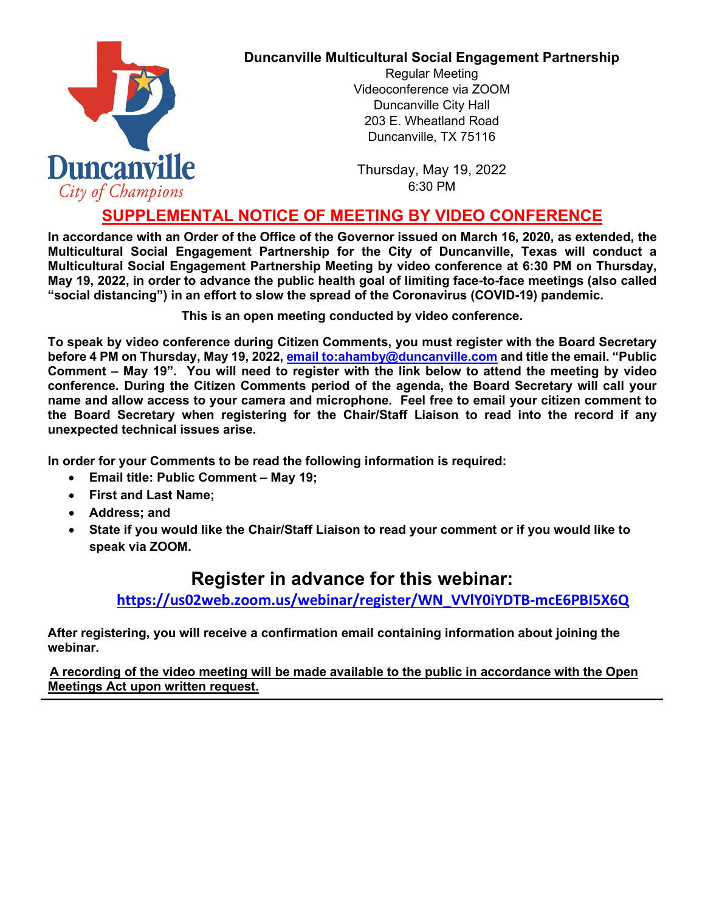

## **Duncanville Multicultural Social Engagement Partnership**

Regular Meeting Videoconference via ZOOM Duncanville City Hall 203 E. Wheatland Road Duncanville, TX 75116

Thursday, May 19, 2022 6:30 PM

## **SUPPLEMENTAL NOTICE OF MEETING BY VIDEO CONFERENCE**

**In accordance with an Order of the Office of the Governor issued on March 16, 2020, as extended, the Multicultural Social Engagement Partnership for the City of Duncanville, Texas will conduct a Multicultural Social Engagement Partnership Meeting by video conference at 6:30 PM on Thursday, May 19, 2022, in order to advance the public health goal of limiting face-to-face meetings (also called "social distancing") in an effort to slow the spread of the Coronavirus (COVID-19) pandemic.** 

**This is an open meeting conducted by video conference.**

**To speak by video conference during Citizen Comments, you must register with the Board Secretary before 4 PM on Thursday, May 19, 2022, [email to:ahamby@duncanville.com](mailto:ahamby@duncanville.com) and title the email. "Public Comment – May 19". You will need to register with the link below to attend the meeting by video conference. During the Citizen Comments period of the agenda, the Board Secretary will call your name and allow access to your camera and microphone. Feel free to email your citizen comment to the Board Secretary when registering for the Chair/Staff Liaison to read into the record if any unexpected technical issues arise.**

**In order for your Comments to be read the following information is required:**

- **Email title: Public Comment – May 19;**
- **First and Last Name;**
- **Address; and**
- **State if you would like the Chair/Staff Liaison to read your comment or if you would like to speak via ZOOM.**

## **Register in advance for this webinar:**

**[https://us02web.zoom.us/webinar/register/WN\\_VVlY0iYDTB-mcE6PBI5X6Q](https://us02web.zoom.us/webinar/register/WN_VVlY0iYDTB-mcE6PBI5X6Q)**

**After registering, you will receive a confirmation email containing information about joining the webinar.**

**A recording of the video meeting will be made available to the public in accordance with the Open Meetings Act upon written request.**